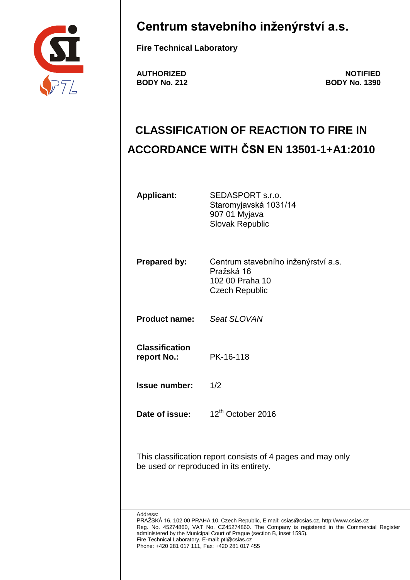

# **Centrum stavebního inženýrství a.s.**

**Fire Technical Laboratory**

AUTHORIZED **NOTIFIED**<br>BODY No. 212 **BODY No. 1390 BODY No. 212 BODY No. 1390**

# **CLASSIFICATION OF REACTION TO FIRE IN ACCORDANCE WITH ČSN EN 13501-1+A1:2010**

| <b>Applicant:</b>                                                                                                                                                                                                                                                                                                                                                                  | SEDASPORT s.r.o.<br>Staromyjavská 1031/14<br>907 01 Myjava<br><b>Slovak Republic</b>          |  |  |  |
|------------------------------------------------------------------------------------------------------------------------------------------------------------------------------------------------------------------------------------------------------------------------------------------------------------------------------------------------------------------------------------|-----------------------------------------------------------------------------------------------|--|--|--|
| <b>Prepared by:</b>                                                                                                                                                                                                                                                                                                                                                                | Centrum stavebního inženýrství a.s.<br>Pražská 16<br>102 00 Praha 10<br><b>Czech Republic</b> |  |  |  |
| <b>Product name:</b>                                                                                                                                                                                                                                                                                                                                                               | Seat SLOVAN                                                                                   |  |  |  |
| <b>Classification</b><br>report No.:                                                                                                                                                                                                                                                                                                                                               | PK-16-118                                                                                     |  |  |  |
| <b>Issue number:</b>                                                                                                                                                                                                                                                                                                                                                               | 1/2                                                                                           |  |  |  |
| Date of issue:                                                                                                                                                                                                                                                                                                                                                                     | 12 <sup>th</sup> October 2016                                                                 |  |  |  |
| This classification report consists of 4 pages and may only<br>be used or reproduced in its entirety.                                                                                                                                                                                                                                                                              |                                                                                               |  |  |  |
| Address:<br>PRAŽSKA 16, 102 00 PRAHA 10, Czech Republic, E mail: csias@csias.cz, http://www.csias.cz<br>Reg. No. 45274860, VAT No. CZ45274860. The Company is registered in the Commercial Register<br>administered by the Municipal Court of Prague (section B, inset 1595).<br>Fire Technical Laboratory, E-mail: ptl@csias.cz<br>Phone: +420 281 017 111, Fax: +420 281 017 455 |                                                                                               |  |  |  |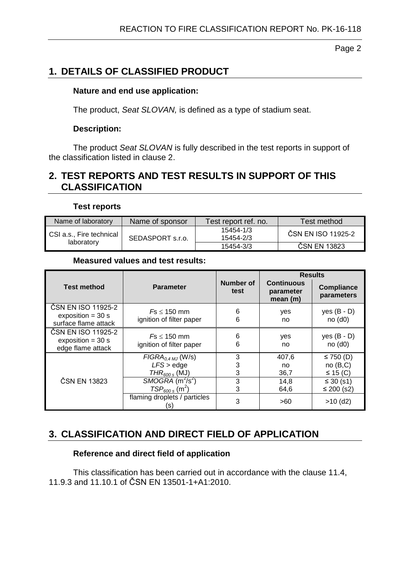Page 2

# **1. DETAILS OF CLASSIFIED PRODUCT**

#### **Nature and end use application:**

The product, *Seat SLOVAN,* is defined as a type of stadium seat.

#### **Description:**

The product *Seat SLOVAN* is fully described in the test reports in support of the classification listed in clause 2.

## **2. TEST REPORTS AND TEST RESULTS IN SUPPORT OF THIS CLASSIFICATION**

#### **Test reports**

| Name of laboratory                     | Name of sponsor  | Test report ref. no.   | Test method        |
|----------------------------------------|------------------|------------------------|--------------------|
| CSI a.s., Fire technical<br>laboratory | SEDASPORT s.r.o. | 15454-1/3<br>15454-2/3 | ČSN EN ISO 11925-2 |
|                                        |                  | 15454-3/3              | CSN EN 13823       |

#### **Measured values and test results:**

|                                                                   |                                                               |                   | <b>Results</b>                            |                                         |
|-------------------------------------------------------------------|---------------------------------------------------------------|-------------------|-------------------------------------------|-----------------------------------------|
| <b>Test method</b>                                                | <b>Parameter</b>                                              | Number of<br>test | <b>Continuous</b><br>parameter<br>mean(m) | <b>Compliance</b><br>parameters         |
| ČSN EN ISO 11925-2<br>exposition = $30 s$<br>surface flame attack | $Fs \leq 150$ mm<br>ignition of filter paper                  | 6<br>6            | yes<br>no                                 | yes $(B - D)$<br>no(d0)                 |
| ČSN EN ISO 11925-2<br>exposition = $30 s$<br>edge flame attack    | $Fs \leq 150$ mm<br>ignition of filter paper                  | 6<br>6            | yes<br>no                                 | yes $(B - D)$<br>no(d0)                 |
|                                                                   | $FIGRA_{0.4\,MJ}$ (W/s)<br>$LFS$ > edge<br>$THR_{600 s}$ (MJ) | 3<br>3<br>3       | 407,6<br>no<br>36,7                       | ≤ 750 $(D)$<br>no(B,C)<br>$\leq$ 15 (C) |
| ČSN EN 13823                                                      | SMOGRA $(m^2/s^2)$<br>$TSP600 s$ (m <sup>2</sup> )            | 3<br>3            | 14,8<br>64,6                              | ≤ 30 $(s1)$<br>≤ 200 $(s2)$             |
|                                                                   | flaming droplets / particles<br>(S)                           | 3                 | >60                                       | $>10$ (d2)                              |

## **3. CLASSIFICATION AND DIRECT FIELD OF APPLICATION**

#### **Reference and direct field of application**

This classification has been carried out in accordance with the clause 11.4, 11.9.3 and 11.10.1 of ČSN EN 13501-1+A1:2010.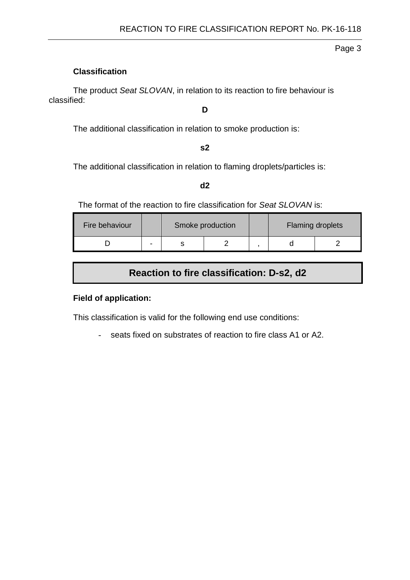Page 3

#### **Classification**

The product *Seat SLOVAN*, in relation to its reaction to fire behaviour is classified:

## **D**

The additional classification in relation to smoke production is:

#### **s2**

The additional classification in relation to flaming droplets/particles is:

#### **d2**

The format of the reaction to fire classification for *Seat SLOVAN* is:

| Fire behaviour |   | Smoke production |  | <b>Flaming droplets</b> |  |
|----------------|---|------------------|--|-------------------------|--|
|                | - |                  |  |                         |  |

# **Reaction to fire classification: D-s2, d2**

#### **Field of application:**

This classification is valid for the following end use conditions:

- seats fixed on substrates of reaction to fire class A1 or A2.